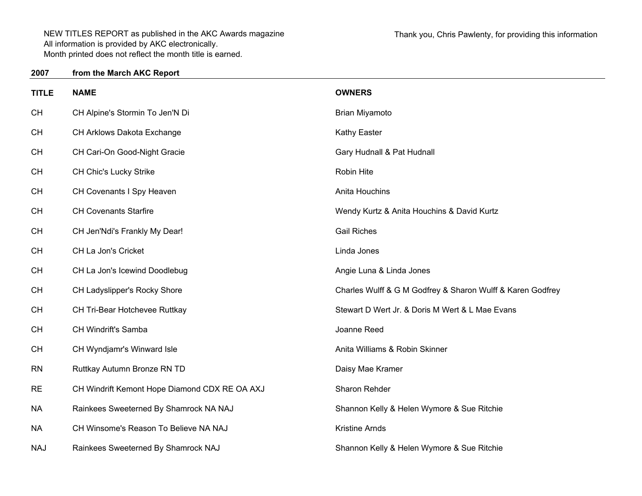| <b>TITLE</b> | <b>NAME</b>                                   | <b>OWNERS</b>                                              |
|--------------|-----------------------------------------------|------------------------------------------------------------|
| <b>CH</b>    | CH Alpine's Stormin To Jen'N Di               | Brian Miyamoto                                             |
| <b>CH</b>    | CH Arklows Dakota Exchange                    | Kathy Easter                                               |
| <b>CH</b>    | CH Cari-On Good-Night Gracie                  | Gary Hudnall & Pat Hudnall                                 |
| <b>CH</b>    | CH Chic's Lucky Strike                        | Robin Hite                                                 |
| <b>CH</b>    | CH Covenants I Spy Heaven                     | Anita Houchins                                             |
| <b>CH</b>    | <b>CH Covenants Starfire</b>                  | Wendy Kurtz & Anita Houchins & David Kurtz                 |
| <b>CH</b>    | CH Jen'Ndi's Frankly My Dear!                 | <b>Gail Riches</b>                                         |
| <b>CH</b>    | CH La Jon's Cricket                           | Linda Jones                                                |
| <b>CH</b>    | CH La Jon's Icewind Doodlebug                 | Angie Luna & Linda Jones                                   |
| <b>CH</b>    | CH Ladyslipper's Rocky Shore                  | Charles Wulff & G M Godfrey & Sharon Wulff & Karen Godfrey |
| <b>CH</b>    | CH Tri-Bear Hotchevee Ruttkay                 | Stewart D Wert Jr. & Doris M Wert & L Mae Evans            |
| <b>CH</b>    | CH Windrift's Samba                           | Joanne Reed                                                |
| <b>CH</b>    | CH Wyndjamr's Winward Isle                    | Anita Williams & Robin Skinner                             |
| <b>RN</b>    | Ruttkay Autumn Bronze RN TD                   | Daisy Mae Kramer                                           |
| <b>RE</b>    | CH Windrift Kemont Hope Diamond CDX RE OA AXJ | Sharon Rehder                                              |
| <b>NA</b>    | Rainkees Sweeterned By Shamrock NA NAJ        | Shannon Kelly & Helen Wymore & Sue Ritchie                 |
| <b>NA</b>    | CH Winsome's Reason To Believe NA NAJ         | <b>Kristine Arnds</b>                                      |
| <b>NAJ</b>   | Rainkees Sweeterned By Shamrock NAJ           | Shannon Kelly & Helen Wymore & Sue Ritchie                 |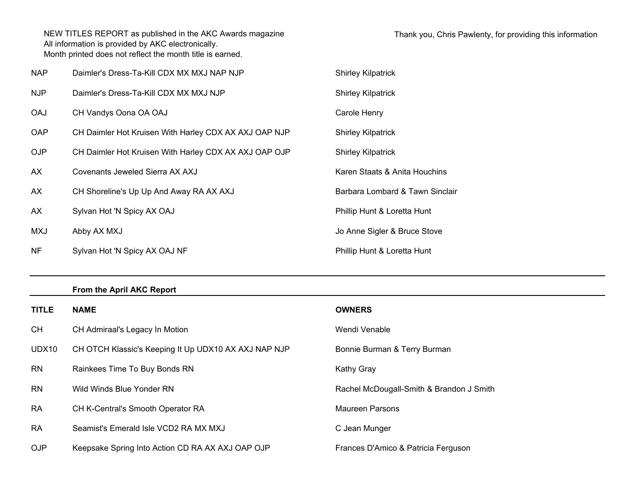| <b>NAP</b> | Daimler's Dress-Ta-Kill CDX MX MXJ NAP NJP            | <b>Shirley Kilpatrick</b>       |
|------------|-------------------------------------------------------|---------------------------------|
| NJP        | Daimler's Dress-Ta-Kill CDX MX MXJ NJP                | <b>Shirley Kilpatrick</b>       |
| <b>OAJ</b> | CH Vandys Oona OA OAJ                                 | Carole Henry                    |
| <b>OAP</b> | CH Daimler Hot Kruisen With Harley CDX AX AXJ OAP NJP | <b>Shirley Kilpatrick</b>       |
| <b>OJP</b> | CH Daimler Hot Kruisen With Harley CDX AX AXJ OAP OJP | <b>Shirley Kilpatrick</b>       |
| AX         | Covenants Jeweled Sierra AX AXJ                       | Karen Staats & Anita Houchins   |
| AX         | CH Shoreline's Up Up And Away RA AX AXJ               | Barbara Lombard & Tawn Sinclair |
| AX         | Sylvan Hot 'N Spicy AX OAJ                            | Phillip Hunt & Loretta Hunt     |
| MXJ        | Abby AX MXJ                                           | Jo Anne Sigler & Bruce Stove    |
| NF.        | Sylvan Hot 'N Spicy AX OAJ NF                         | Phillip Hunt & Loretta Hunt     |

## **From the April AKC Report**

| <b>TITLE</b> | <b>NAME</b>                                          | <b>OWNERS</b>                            |
|--------------|------------------------------------------------------|------------------------------------------|
| <b>CH</b>    | CH Admiraal's Legacy In Motion                       | Wendi Venable                            |
| UDX10        | CH OTCH Klassic's Keeping It Up UDX10 AX AXJ NAP NJP | Bonnie Burman & Terry Burman             |
| <b>RN</b>    | Rainkees Time To Buy Bonds RN                        | <b>Kathy Gray</b>                        |
| <b>RN</b>    | Wild Winds Blue Yonder RN                            | Rachel McDougall-Smith & Brandon J Smith |
| <b>RA</b>    | <b>CH K-Central's Smooth Operator RA</b>             | <b>Maureen Parsons</b>                   |
| <b>RA</b>    | Seamist's Emerald Isle VCD2 RA MX MXJ                | C Jean Munger                            |
| <b>OJP</b>   | Keepsake Spring Into Action CD RA AX AXJ OAP OJP     | Frances D'Amico & Patricia Ferguson      |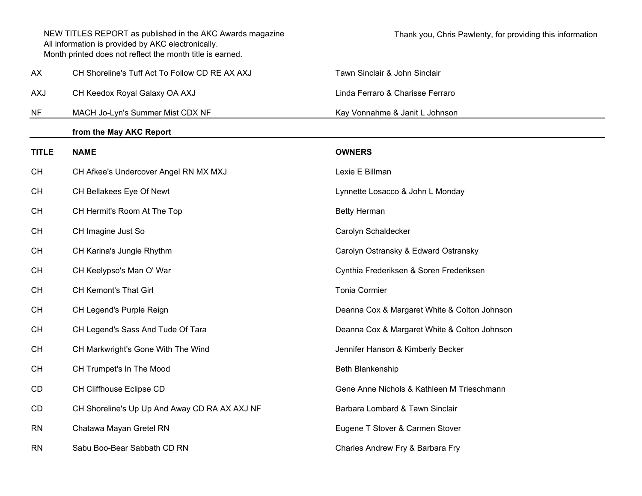|              | NEW TITLES REPORT as published in the AKC Awards magazine<br>All information is provided by AKC electronically.<br>Month printed does not reflect the month title is earned. | Thank you, Chris Pawlenty, for providing this information |
|--------------|------------------------------------------------------------------------------------------------------------------------------------------------------------------------------|-----------------------------------------------------------|
| АX           | CH Shoreline's Tuff Act To Follow CD RE AX AXJ                                                                                                                               | Tawn Sinclair & John Sinclair                             |
| <b>AXJ</b>   | CH Keedox Royal Galaxy OA AXJ                                                                                                                                                | Linda Ferraro & Charisse Ferraro                          |
| <b>NF</b>    | MACH Jo-Lyn's Summer Mist CDX NF                                                                                                                                             | Kay Vonnahme & Janit L Johnson                            |
|              | from the May AKC Report                                                                                                                                                      |                                                           |
| <b>TITLE</b> | <b>NAME</b>                                                                                                                                                                  | <b>OWNERS</b>                                             |
| <b>CH</b>    | CH Afkee's Undercover Angel RN MX MXJ                                                                                                                                        | Lexie E Billman                                           |
| <b>CH</b>    | CH Bellakees Eye Of Newt                                                                                                                                                     | Lynnette Losacco & John L Monday                          |
| <b>CH</b>    | CH Hermit's Room At The Top                                                                                                                                                  | <b>Betty Herman</b>                                       |
| <b>CH</b>    | CH Imagine Just So                                                                                                                                                           | Carolyn Schaldecker                                       |
| <b>CH</b>    | CH Karina's Jungle Rhythm                                                                                                                                                    | Carolyn Ostransky & Edward Ostransky                      |
| <b>CH</b>    | CH Keelypso's Man O' War                                                                                                                                                     | Cynthia Frederiksen & Soren Frederiksen                   |
| <b>CH</b>    | <b>CH Kemont's That Girl</b>                                                                                                                                                 | <b>Tonia Cormier</b>                                      |
| <b>CH</b>    | CH Legend's Purple Reign                                                                                                                                                     | Deanna Cox & Margaret White & Colton Johnson              |
| <b>CH</b>    | CH Legend's Sass And Tude Of Tara                                                                                                                                            | Deanna Cox & Margaret White & Colton Johnson              |
| <b>CH</b>    | CH Markwright's Gone With The Wind                                                                                                                                           | Jennifer Hanson & Kimberly Becker                         |
| <b>CH</b>    | CH Trumpet's In The Mood                                                                                                                                                     | Beth Blankenship                                          |
| <b>CD</b>    | CH Cliffhouse Eclipse CD                                                                                                                                                     | Gene Anne Nichols & Kathleen M Trieschmann                |
| CD           | CH Shoreline's Up Up And Away CD RA AX AXJ NF                                                                                                                                | Barbara Lombard & Tawn Sinclair                           |
| <b>RN</b>    | Chatawa Mayan Gretel RN                                                                                                                                                      | Eugene T Stover & Carmen Stover                           |
| <b>RN</b>    | Sabu Boo-Bear Sabbath CD RN                                                                                                                                                  | Charles Andrew Fry & Barbara Fry                          |
|              |                                                                                                                                                                              |                                                           |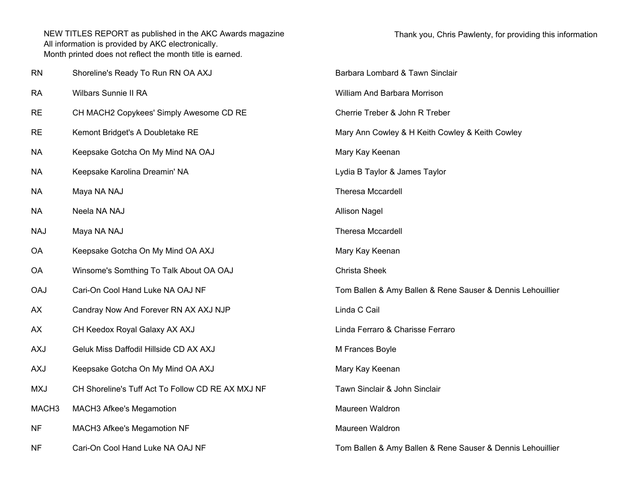| <b>RN</b>         | Shoreline's Ready To Run RN OA AXJ                | Barbara Lombard & Tawn Sinclair                            |
|-------------------|---------------------------------------------------|------------------------------------------------------------|
| <b>RA</b>         | Wilbars Sunnie II RA                              | William And Barbara Morrison                               |
| <b>RE</b>         | CH MACH2 Copykees' Simply Awesome CD RE           | Cherrie Treber & John R Treber                             |
| <b>RE</b>         | Kemont Bridget's A Doubletake RE                  | Mary Ann Cowley & H Keith Cowley & Keith Cowley            |
| <b>NA</b>         | Keepsake Gotcha On My Mind NA OAJ                 | Mary Kay Keenan                                            |
| <b>NA</b>         | Keepsake Karolina Dreamin' NA                     | Lydia B Taylor & James Taylor                              |
| <b>NA</b>         | Maya NA NAJ                                       | <b>Theresa Mccardell</b>                                   |
| <b>NA</b>         | Neela NA NAJ                                      | <b>Allison Nagel</b>                                       |
| <b>NAJ</b>        | Maya NA NAJ                                       | <b>Theresa Mccardell</b>                                   |
| <b>OA</b>         | Keepsake Gotcha On My Mind OA AXJ                 | Mary Kay Keenan                                            |
| <b>OA</b>         | Winsome's Somthing To Talk About OA OAJ           | <b>Christa Sheek</b>                                       |
| <b>OAJ</b>        | Cari-On Cool Hand Luke NA OAJ NF                  | Tom Ballen & Amy Ballen & Rene Sauser & Dennis Lehouillier |
| AX                | Candray Now And Forever RN AX AXJ NJP             | Linda C Cail                                               |
| AX                | CH Keedox Royal Galaxy AX AXJ                     | Linda Ferraro & Charisse Ferraro                           |
| <b>AXJ</b>        | Geluk Miss Daffodil Hillside CD AX AXJ            | M Frances Boyle                                            |
| <b>AXJ</b>        | Keepsake Gotcha On My Mind OA AXJ                 | Mary Kay Keenan                                            |
| <b>MXJ</b>        | CH Shoreline's Tuff Act To Follow CD RE AX MXJ NF | Tawn Sinclair & John Sinclair                              |
| MACH <sub>3</sub> | MACH3 Afkee's Megamotion                          | Maureen Waldron                                            |
| <b>NF</b>         | MACH3 Afkee's Megamotion NF                       | Maureen Waldron                                            |
| NF.               | Cari-On Cool Hand Luke NA OAJ NF                  | Tom Ballen & Amy Ballen & Rene Sauser & Dennis Lehouillier |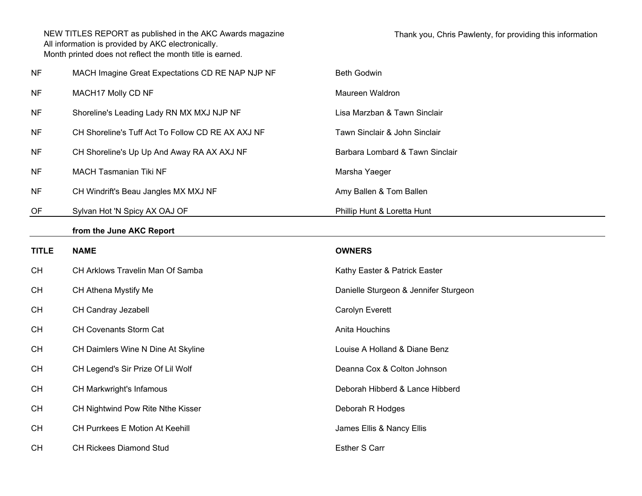| <b>NF</b>    | MACH Imagine Great Expectations CD RE NAP NJP NF  | <b>Beth Godwin</b>                    |
|--------------|---------------------------------------------------|---------------------------------------|
| <b>NF</b>    | MACH17 Molly CD NF                                | Maureen Waldron                       |
| <b>NF</b>    | Shoreline's Leading Lady RN MX MXJ NJP NF         | Lisa Marzban & Tawn Sinclair          |
| <b>NF</b>    | CH Shoreline's Tuff Act To Follow CD RE AX AXJ NF | Tawn Sinclair & John Sinclair         |
| <b>NF</b>    | CH Shoreline's Up Up And Away RA AX AXJ NF        | Barbara Lombard & Tawn Sinclair       |
| <b>NF</b>    | MACH Tasmanian Tiki NF                            | Marsha Yaeger                         |
| <b>NF</b>    | CH Windrift's Beau Jangles MX MXJ NF              | Amy Ballen & Tom Ballen               |
| OF           | Sylvan Hot 'N Spicy AX OAJ OF                     | Phillip Hunt & Loretta Hunt           |
|              | from the June AKC Report                          |                                       |
| <b>TITLE</b> | <b>NAME</b>                                       | <b>OWNERS</b>                         |
| <b>CH</b>    | CH Arklows Travelin Man Of Samba                  | Kathy Easter & Patrick Easter         |
| <b>CH</b>    | CH Athena Mystify Me                              | Danielle Sturgeon & Jennifer Sturgeon |
| <b>CH</b>    | CH Candray Jezabell                               | Carolyn Everett                       |
| <b>CH</b>    | CH Covenants Storm Cat                            | Anita Houchins                        |
| <b>CH</b>    | CH Daimlers Wine N Dine At Skyline                | Louise A Holland & Diane Benz         |
| <b>CH</b>    | CH Legend's Sir Prize Of Lil Wolf                 | Deanna Cox & Colton Johnson           |
| <b>CH</b>    | CH Markwright's Infamous                          | Deborah Hibberd & Lance Hibberd       |
| <b>CH</b>    | CH Nightwind Pow Rite Nthe Kisser                 | Deborah R Hodges                      |
| <b>CH</b>    | CH Purrkees E Motion At Keehill                   | James Ellis & Nancy Ellis             |
| <b>CH</b>    | CH Rickees Diamond Stud                           | <b>Esther S Carr</b>                  |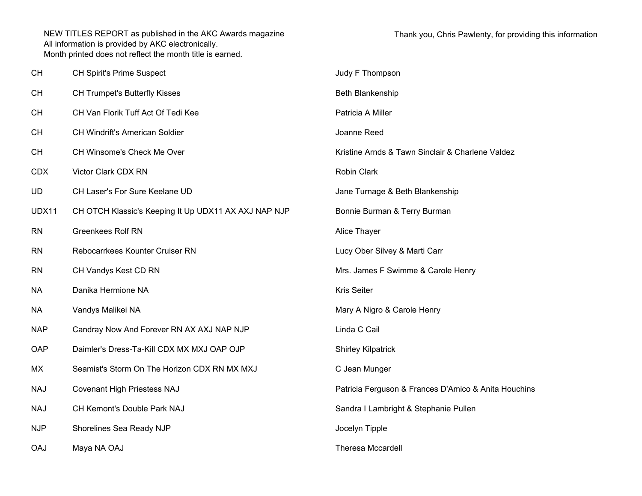| CН         | CH Spirit's Prime Suspect                            | Judy F Thompson                                      |
|------------|------------------------------------------------------|------------------------------------------------------|
| CН         | <b>CH Trumpet's Butterfly Kisses</b>                 | Beth Blankenship                                     |
| CН         | CH Van Florik Tuff Act Of Tedi Kee                   | Patricia A Miller                                    |
| CН         | CH Windrift's American Soldier                       | Joanne Reed                                          |
| СH         | CH Winsome's Check Me Over                           | Kristine Arnds & Tawn Sinclair & Charlene Valdez     |
| <b>CDX</b> | Victor Clark CDX RN                                  | <b>Robin Clark</b>                                   |
| UD         | CH Laser's For Sure Keelane UD                       | Jane Turnage & Beth Blankenship                      |
| UDX11      | CH OTCH Klassic's Keeping It Up UDX11 AX AXJ NAP NJP | Bonnie Burman & Terry Burman                         |
| <b>RN</b>  | <b>Greenkees Rolf RN</b>                             | Alice Thayer                                         |
| RN         | Rebocarrkees Kounter Cruiser RN                      | Lucy Ober Silvey & Marti Carr                        |
| RN         | CH Vandys Kest CD RN                                 | Mrs. James F Swimme & Carole Henry                   |
| NА         | Danika Hermione NA                                   | <b>Kris Seiter</b>                                   |
| NА         | Vandys Malikei NA                                    | Mary A Nigro & Carole Henry                          |
| <b>NAP</b> | Candray Now And Forever RN AX AXJ NAP NJP            | Linda C Cail                                         |
| OAP        | Daimler's Dress-Ta-Kill CDX MX MXJ OAP OJP           | <b>Shirley Kilpatrick</b>                            |
| МX         | Seamist's Storm On The Horizon CDX RN MX MXJ         | C Jean Munger                                        |
| NAJ        | <b>Covenant High Priestess NAJ</b>                   | Patricia Ferguson & Frances D'Amico & Anita Houchins |
| NAJ        | CH Kemont's Double Park NAJ                          | Sandra I Lambright & Stephanie Pullen                |
| <b>NJP</b> | Shorelines Sea Ready NJP                             | Jocelyn Tipple                                       |
| <b>CAJ</b> | Maya NA OAJ                                          | <b>Theresa Mccardell</b>                             |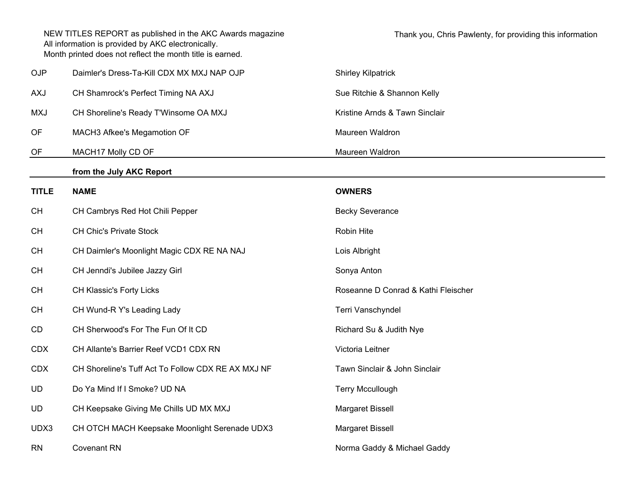|              | NEW TITLES REPORT as published in the AKC Awards magazine<br>All information is provided by AKC electronically.<br>Month printed does not reflect the month title is earned. | Thank you, Chris Pawlenty, for providing this information |
|--------------|------------------------------------------------------------------------------------------------------------------------------------------------------------------------------|-----------------------------------------------------------|
| <b>OJP</b>   | Daimler's Dress-Ta-Kill CDX MX MXJ NAP OJP                                                                                                                                   | <b>Shirley Kilpatrick</b>                                 |
| <b>AXJ</b>   | CH Shamrock's Perfect Timing NA AXJ                                                                                                                                          | Sue Ritchie & Shannon Kelly                               |
| <b>MXJ</b>   | CH Shoreline's Ready T'Winsome OA MXJ                                                                                                                                        | Kristine Arnds & Tawn Sinclair                            |
| OF           | MACH3 Afkee's Megamotion OF                                                                                                                                                  | Maureen Waldron                                           |
| OF           | MACH17 Molly CD OF                                                                                                                                                           | Maureen Waldron                                           |
|              | from the July AKC Report                                                                                                                                                     |                                                           |
| <b>TITLE</b> | <b>NAME</b>                                                                                                                                                                  | <b>OWNERS</b>                                             |
| <b>CH</b>    | CH Cambrys Red Hot Chili Pepper                                                                                                                                              | <b>Becky Severance</b>                                    |
| <b>CH</b>    | <b>CH Chic's Private Stock</b>                                                                                                                                               | Robin Hite                                                |
| <b>CH</b>    | CH Daimler's Moonlight Magic CDX RE NA NAJ                                                                                                                                   | Lois Albright                                             |
| <b>CH</b>    | CH Jenndi's Jubilee Jazzy Girl                                                                                                                                               | Sonya Anton                                               |
| <b>CH</b>    | CH Klassic's Forty Licks                                                                                                                                                     | Roseanne D Conrad & Kathi Fleischer                       |
| <b>CH</b>    | CH Wund-R Y's Leading Lady                                                                                                                                                   | Terri Vanschyndel                                         |
| CD           | CH Sherwood's For The Fun Of It CD                                                                                                                                           | Richard Su & Judith Nye                                   |
| <b>CDX</b>   | CH Allante's Barrier Reef VCD1 CDX RN                                                                                                                                        | Victoria Leitner                                          |
| <b>CDX</b>   | CH Shoreline's Tuff Act To Follow CDX RE AX MXJ NF                                                                                                                           | Tawn Sinclair & John Sinclair                             |
| UD           | Do Ya Mind If I Smoke? UD NA                                                                                                                                                 | <b>Terry Mccullough</b>                                   |
| <b>UD</b>    | CH Keepsake Giving Me Chills UD MX MXJ                                                                                                                                       | Margaret Bissell                                          |
| UDX3         | CH OTCH MACH Keepsake Moonlight Serenade UDX3                                                                                                                                | Margaret Bissell                                          |
| <b>RN</b>    | <b>Covenant RN</b>                                                                                                                                                           | Norma Gaddy & Michael Gaddy                               |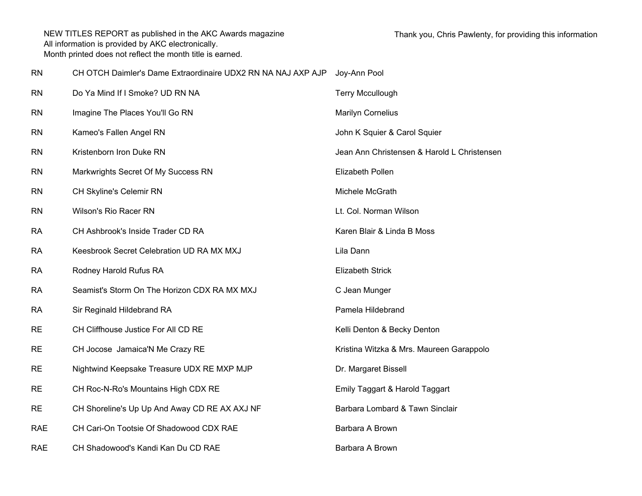RN CH OTCH Daimler's Dame Extraordinaire UDX2 RN NA NAJ AXP AJP Joy-Ann Pool

| <b>RN</b>  | Do Ya Mind If I Smoke? UD RN NA               | <b>Terry Mccullough</b>                     |
|------------|-----------------------------------------------|---------------------------------------------|
| <b>RN</b>  | Imagine The Places You'll Go RN               | <b>Marilyn Cornelius</b>                    |
| <b>RN</b>  | Kameo's Fallen Angel RN                       | John K Squier & Carol Squier                |
| <b>RN</b>  | Kristenborn Iron Duke RN                      | Jean Ann Christensen & Harold L Christensen |
| <b>RN</b>  | Markwrights Secret Of My Success RN           | Elizabeth Pollen                            |
| <b>RN</b>  | CH Skyline's Celemir RN                       | Michele McGrath                             |
| <b>RN</b>  | Wilson's Rio Racer RN                         | Lt. Col. Norman Wilson                      |
| <b>RA</b>  | CH Ashbrook's Inside Trader CD RA             | Karen Blair & Linda B Moss                  |
| <b>RA</b>  | Keesbrook Secret Celebration UD RA MX MXJ     | Lila Dann                                   |
| RA         | Rodney Harold Rufus RA                        | <b>Elizabeth Strick</b>                     |
| <b>RA</b>  | Seamist's Storm On The Horizon CDX RA MX MXJ  | C Jean Munger                               |
| <b>RA</b>  | Sir Reginald Hildebrand RA                    | Pamela Hildebrand                           |
| <b>RE</b>  | CH Cliffhouse Justice For All CD RE           | Kelli Denton & Becky Denton                 |
| <b>RE</b>  | CH Jocose Jamaica'N Me Crazy RE               | Kristina Witzka & Mrs. Maureen Garappolo    |
| <b>RE</b>  | Nightwind Keepsake Treasure UDX RE MXP MJP    | Dr. Margaret Bissell                        |
| <b>RE</b>  | CH Roc-N-Ro's Mountains High CDX RE           | Emily Taggart & Harold Taggart              |
| <b>RE</b>  | CH Shoreline's Up Up And Away CD RE AX AXJ NF | Barbara Lombard & Tawn Sinclair             |
| <b>RAE</b> | CH Cari-On Tootsie Of Shadowood CDX RAE       | Barbara A Brown                             |
| <b>RAE</b> | CH Shadowood's Kandi Kan Du CD RAE            | Barbara A Brown                             |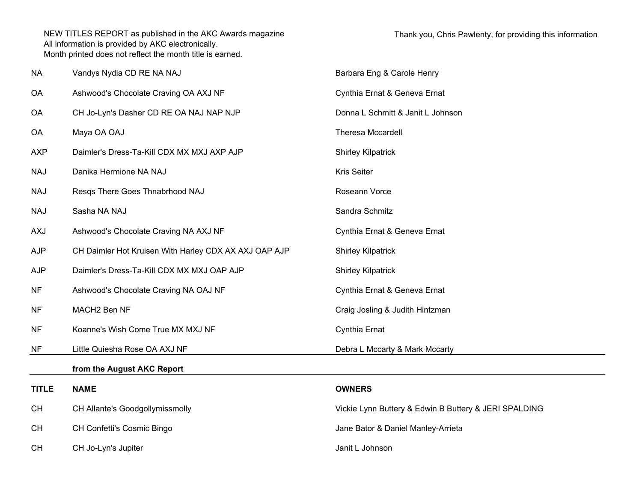| <b>NA</b>    | Vandys Nydia CD RE NA NAJ                             | Barbara Eng & Carole Henry                            |
|--------------|-------------------------------------------------------|-------------------------------------------------------|
| <b>OA</b>    | Ashwood's Chocolate Craving OA AXJ NF                 | Cynthia Ernat & Geneva Ernat                          |
| OA           | CH Jo-Lyn's Dasher CD RE OA NAJ NAP NJP               | Donna L Schmitt & Janit L Johnson                     |
| OA           | Maya OA OAJ                                           | Theresa Mccardell                                     |
| <b>AXP</b>   | Daimler's Dress-Ta-Kill CDX MX MXJ AXP AJP            | <b>Shirley Kilpatrick</b>                             |
| <b>NAJ</b>   | Danika Hermione NA NAJ                                | <b>Kris Seiter</b>                                    |
| <b>NAJ</b>   | Resqs There Goes Thnabrhood NAJ                       | Roseann Vorce                                         |
| <b>NAJ</b>   | Sasha NA NAJ                                          | Sandra Schmitz                                        |
| AXJ          | Ashwood's Chocolate Craving NA AXJ NF                 | Cynthia Ernat & Geneva Ernat                          |
| <b>AJP</b>   | CH Daimler Hot Kruisen With Harley CDX AX AXJ OAP AJP | <b>Shirley Kilpatrick</b>                             |
| <b>AJP</b>   | Daimler's Dress-Ta-Kill CDX MX MXJ OAP AJP            | <b>Shirley Kilpatrick</b>                             |
| <b>NF</b>    | Ashwood's Chocolate Craving NA OAJ NF                 | Cynthia Ernat & Geneva Ernat                          |
| <b>NF</b>    | MACH2 Ben NF                                          | Craig Josling & Judith Hintzman                       |
| <b>NF</b>    | Koanne's Wish Come True MX MXJ NF                     | Cynthia Ernat                                         |
| <b>NF</b>    | Little Quiesha Rose OA AXJ NF                         | Debra L Mccarty & Mark Mccarty                        |
|              | from the August AKC Report                            |                                                       |
| <b>TITLE</b> | <b>NAME</b>                                           | <b>OWNERS</b>                                         |
| <b>CH</b>    | CH Allante's Goodgollymissmolly                       | Vickie Lynn Buttery & Edwin B Buttery & JERI SPALDING |
| <b>CH</b>    | CH Confetti's Cosmic Bingo                            | Jane Bator & Daniel Manley-Arrieta                    |
| <b>CH</b>    | CH Jo-Lyn's Jupiter                                   | Janit L Johnson                                       |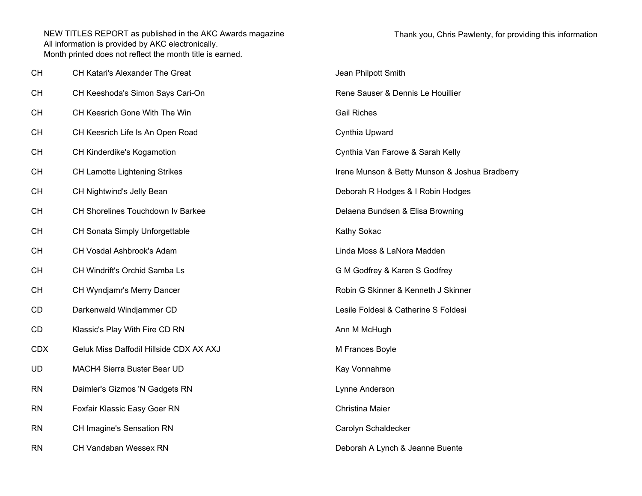| <b>CH</b>  | CH Katari's Alexander The Great         | Jean Philpott Smith                            |
|------------|-----------------------------------------|------------------------------------------------|
| <b>CH</b>  | CH Keeshoda's Simon Says Cari-On        | Rene Sauser & Dennis Le Houillier              |
| <b>CH</b>  | CH Keesrich Gone With The Win           | <b>Gail Riches</b>                             |
| <b>CH</b>  | CH Keesrich Life Is An Open Road        | Cynthia Upward                                 |
| <b>CH</b>  | CH Kinderdike's Kogamotion              | Cynthia Van Farowe & Sarah Kelly               |
| <b>CH</b>  | CH Lamotte Lightening Strikes           | Irene Munson & Betty Munson & Joshua Bradberry |
| <b>CH</b>  | CH Nightwind's Jelly Bean               | Deborah R Hodges & I Robin Hodges              |
| <b>CH</b>  | CH Shorelines Touchdown Iv Barkee       | Delaena Bundsen & Elisa Browning               |
| <b>CH</b>  | CH Sonata Simply Unforgettable          | Kathy Sokac                                    |
| <b>CH</b>  | CH Vosdal Ashbrook's Adam               | Linda Moss & LaNora Madden                     |
| <b>CH</b>  | CH Windrift's Orchid Samba Ls           | G M Godfrey & Karen S Godfrey                  |
| <b>CH</b>  | CH Wyndjamr's Merry Dancer              | Robin G Skinner & Kenneth J Skinner            |
| <b>CD</b>  | Darkenwald Windjammer CD                | Lesile Foldesi & Catherine S Foldesi           |
| CD         | Klassic's Play With Fire CD RN          | Ann M McHugh                                   |
| <b>CDX</b> | Geluk Miss Daffodil Hillside CDX AX AXJ | M Frances Boyle                                |
| UD         | MACH4 Sierra Buster Bear UD             | Kay Vonnahme                                   |
| <b>RN</b>  | Daimler's Gizmos 'N Gadgets RN          | Lynne Anderson                                 |
| <b>RN</b>  | Foxfair Klassic Easy Goer RN            | Christina Maier                                |
| <b>RN</b>  | CH Imagine's Sensation RN               | Carolyn Schaldecker                            |
| <b>RN</b>  | <b>CH Vandaban Wessex RN</b>            | Deborah A Lynch & Jeanne Buente                |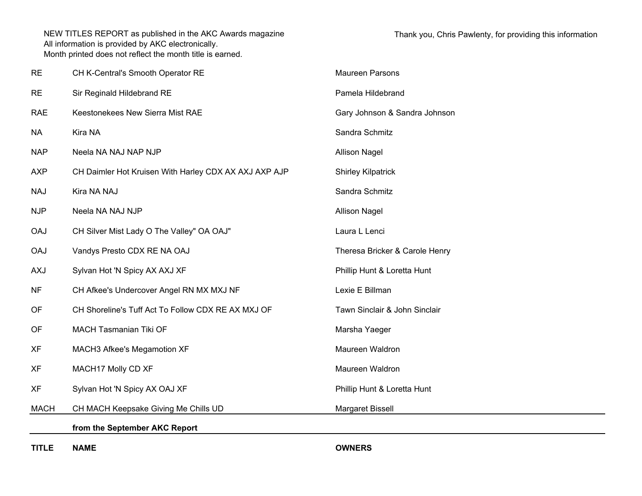| <b>RE</b>   | CH K-Central's Smooth Operator RE                     | <b>Maureen Parsons</b>         |
|-------------|-------------------------------------------------------|--------------------------------|
| <b>RE</b>   | Sir Reginald Hildebrand RE                            | Pamela Hildebrand              |
| <b>RAE</b>  | Keestonekees New Sierra Mist RAE                      | Gary Johnson & Sandra Johnson  |
| <b>NA</b>   | Kira NA                                               | Sandra Schmitz                 |
| <b>NAP</b>  | Neela NA NAJ NAP NJP                                  | <b>Allison Nagel</b>           |
| <b>AXP</b>  | CH Daimler Hot Kruisen With Harley CDX AX AXJ AXP AJP | <b>Shirley Kilpatrick</b>      |
| <b>NAJ</b>  | Kira NA NAJ                                           | Sandra Schmitz                 |
| <b>NJP</b>  | Neela NA NAJ NJP                                      | <b>Allison Nagel</b>           |
| <b>OAJ</b>  | CH Silver Mist Lady O The Valley" OA OAJ"             | Laura L Lenci                  |
| <b>OAJ</b>  | Vandys Presto CDX RE NA OAJ                           | Theresa Bricker & Carole Henry |
| <b>AXJ</b>  | Sylvan Hot 'N Spicy AX AXJ XF                         | Phillip Hunt & Loretta Hunt    |
| <b>NF</b>   | CH Afkee's Undercover Angel RN MX MXJ NF              | Lexie E Billman                |
| OF          | CH Shoreline's Tuff Act To Follow CDX RE AX MXJ OF    | Tawn Sinclair & John Sinclair  |
| OF          | <b>MACH Tasmanian Tiki OF</b>                         | Marsha Yaeger                  |
| <b>XF</b>   | MACH3 Afkee's Megamotion XF                           | Maureen Waldron                |
| <b>XF</b>   | MACH17 Molly CD XF                                    | Maureen Waldron                |
| <b>XF</b>   | Sylvan Hot 'N Spicy AX OAJ XF                         | Phillip Hunt & Loretta Hunt    |
| <b>MACH</b> | CH MACH Keepsake Giving Me Chills UD                  | Margaret Bissell               |
|             | from the September AKC Report                         |                                |

**TITLE NAME OWNERS**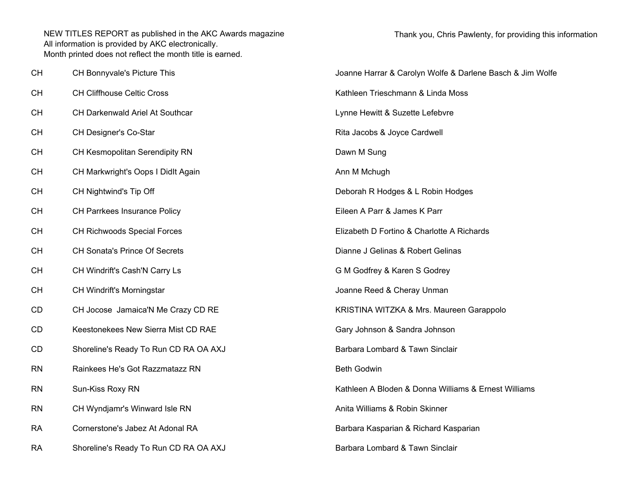| CН | CH Bonnyvale's Picture This           | Joanne Harrar & Carolyn Wolfe & Darlene Basch & Jim Wolfe |  |
|----|---------------------------------------|-----------------------------------------------------------|--|
| CН | CH Cliffhouse Celtic Cross            | Kathleen Trieschmann & Linda Moss                         |  |
| CН | CH Darkenwald Ariel At Southcar       | Lynne Hewitt & Suzette Lefebvre                           |  |
| CН | CH Designer's Co-Star                 | Rita Jacobs & Joyce Cardwell                              |  |
| CН | CH Kesmopolitan Serendipity RN        | Dawn M Sung                                               |  |
| CН | CH Markwright's Oops I Didlt Again    | Ann M Mchugh                                              |  |
| CН | CH Nightwind's Tip Off                | Deborah R Hodges & L Robin Hodges                         |  |
| CН | CH Parrkees Insurance Policy          | Eileen A Parr & James K Parr                              |  |
| CН | CH Richwoods Special Forces           | Elizabeth D Fortino & Charlotte A Richards                |  |
| CН | <b>CH Sonata's Prince Of Secrets</b>  | Dianne J Gelinas & Robert Gelinas                         |  |
| CН | CH Windrift's Cash'N Carry Ls         | G M Godfrey & Karen S Godrey                              |  |
| CН | CH Windrift's Morningstar             | Joanne Reed & Cheray Unman                                |  |
| CD | CH Jocose Jamaica'N Me Crazy CD RE    | KRISTINA WITZKA & Mrs. Maureen Garappolo                  |  |
| CD | Keestonekees New Sierra Mist CD RAE   | Gary Johnson & Sandra Johnson                             |  |
| CD | Shoreline's Ready To Run CD RA OA AXJ | Barbara Lombard & Tawn Sinclair                           |  |
| RN | Rainkees He's Got Razzmatazz RN       | <b>Beth Godwin</b>                                        |  |
| RN | Sun-Kiss Roxy RN                      | Kathleen A Bloden & Donna Williams & Ernest Williams      |  |
| RN | CH Wyndjamr's Winward Isle RN         | Anita Williams & Robin Skinner                            |  |
| RA | Cornerstone's Jabez At Adonal RA      | Barbara Kasparian & Richard Kasparian                     |  |
| RA | Shoreline's Ready To Run CD RA OA AXJ | Barbara Lombard & Tawn Sinclair                           |  |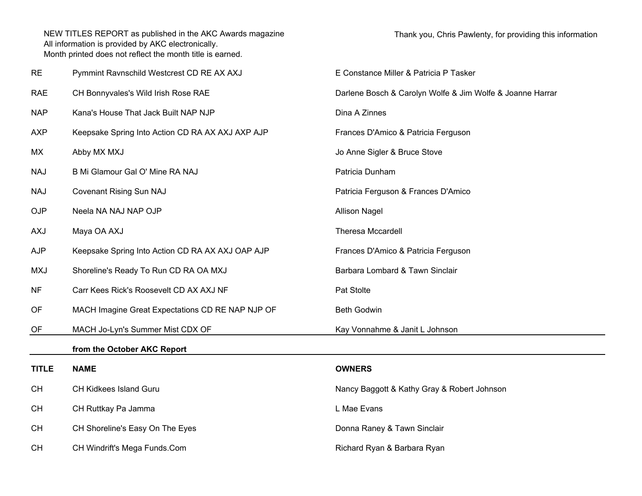| <b>RE</b>    | Pymmint Ravnschild Westcrest CD RE AX AXJ        | E Constance Miller & Patricia P Tasker                    |  |
|--------------|--------------------------------------------------|-----------------------------------------------------------|--|
| <b>RAE</b>   | CH Bonnyvales's Wild Irish Rose RAE              | Darlene Bosch & Carolyn Wolfe & Jim Wolfe & Joanne Harrar |  |
| <b>NAP</b>   | Kana's House That Jack Built NAP NJP             | Dina A Zinnes                                             |  |
| <b>AXP</b>   | Keepsake Spring Into Action CD RA AX AXJ AXP AJP | Frances D'Amico & Patricia Ferguson                       |  |
| МX           | Abby MX MXJ                                      | Jo Anne Sigler & Bruce Stove                              |  |
| <b>NAJ</b>   | B Mi Glamour Gal O' Mine RA NAJ                  | Patricia Dunham                                           |  |
| <b>NAJ</b>   | <b>Covenant Rising Sun NAJ</b>                   | Patricia Ferguson & Frances D'Amico                       |  |
| <b>OJP</b>   | Neela NA NAJ NAP OJP                             | <b>Allison Nagel</b>                                      |  |
| <b>AXJ</b>   | Maya OA AXJ                                      | <b>Theresa Mccardell</b>                                  |  |
| <b>AJP</b>   | Keepsake Spring Into Action CD RA AX AXJ OAP AJP | Frances D'Amico & Patricia Ferguson                       |  |
| <b>MXJ</b>   | Shoreline's Ready To Run CD RA OA MXJ            | Barbara Lombard & Tawn Sinclair                           |  |
| <b>NF</b>    | Carr Kees Rick's Roosevelt CD AX AXJ NF          | Pat Stolte                                                |  |
| OF           | MACH Imagine Great Expectations CD RE NAP NJP OF | <b>Beth Godwin</b>                                        |  |
| OF           | MACH Jo-Lyn's Summer Mist CDX OF                 | Kay Vonnahme & Janit L Johnson                            |  |
|              | from the October AKC Report                      |                                                           |  |
| <b>TITLE</b> | <b>NAME</b>                                      | <b>OWNERS</b>                                             |  |
| <b>CH</b>    | CH Kidkees Island Guru                           | Nancy Baggott & Kathy Gray & Robert Johnson               |  |
| <b>CH</b>    | CH Ruttkay Pa Jamma                              | L Mae Evans                                               |  |
| <b>CH</b>    | CH Shoreline's Easy On The Eyes                  | Donna Raney & Tawn Sinclair                               |  |
| <b>CH</b>    | CH Windrift's Mega Funds.Com                     | Richard Ryan & Barbara Ryan                               |  |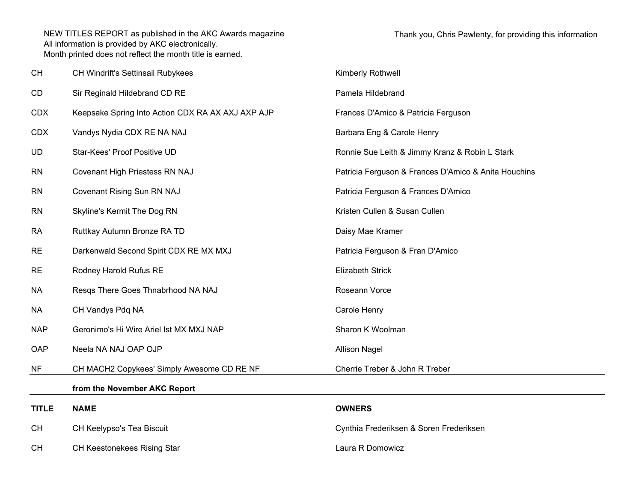| <b>CH</b>    | CH Windrift's Settinsail Rubykees                 | Kimberly Rothwell                                    |
|--------------|---------------------------------------------------|------------------------------------------------------|
| CD           | Sir Reginald Hildebrand CD RE                     | Pamela Hildebrand                                    |
| <b>CDX</b>   | Keepsake Spring Into Action CDX RA AX AXJ AXP AJP | Frances D'Amico & Patricia Ferguson                  |
| <b>CDX</b>   | Vandys Nydia CDX RE NA NAJ                        | Barbara Eng & Carole Henry                           |
| <b>UD</b>    | Star-Kees' Proof Positive UD                      | Ronnie Sue Leith & Jimmy Kranz & Robin L Stark       |
| <b>RN</b>    | Covenant High Priestess RN NAJ                    | Patricia Ferguson & Frances D'Amico & Anita Houchins |
| <b>RN</b>    | Covenant Rising Sun RN NAJ                        | Patricia Ferguson & Frances D'Amico                  |
| <b>RN</b>    | Skyline's Kermit The Dog RN                       | Kristen Cullen & Susan Cullen                        |
| <b>RA</b>    | Ruttkay Autumn Bronze RA TD                       | Daisy Mae Kramer                                     |
| <b>RE</b>    | Darkenwald Second Spirit CDX RE MX MXJ            | Patricia Ferguson & Fran D'Amico                     |
| <b>RE</b>    | Rodney Harold Rufus RE                            | <b>Elizabeth Strick</b>                              |
| <b>NA</b>    | Resqs There Goes Thnabrhood NA NAJ                | Roseann Vorce                                        |
| <b>NA</b>    | CH Vandys Pdq NA                                  | Carole Henry                                         |
| <b>NAP</b>   | Geronimo's Hi Wire Ariel Ist MX MXJ NAP           | Sharon K Woolman                                     |
| OAP          | Neela NA NAJ OAP OJP                              | <b>Allison Nagel</b>                                 |
| <b>NF</b>    | CH MACH2 Copykees' Simply Awesome CD RE NF        | Cherrie Treber & John R Treber                       |
|              | from the November AKC Report                      |                                                      |
| <b>TITLE</b> | <b>NAME</b>                                       | <b>OWNERS</b>                                        |
| CH           | CH Keelypso's Tea Biscuit                         | Cynthia Frederiksen & Soren Frederiksen              |
| <b>CH</b>    | <b>CH Keestonekees Rising Star</b>                | Laura R Domowicz                                     |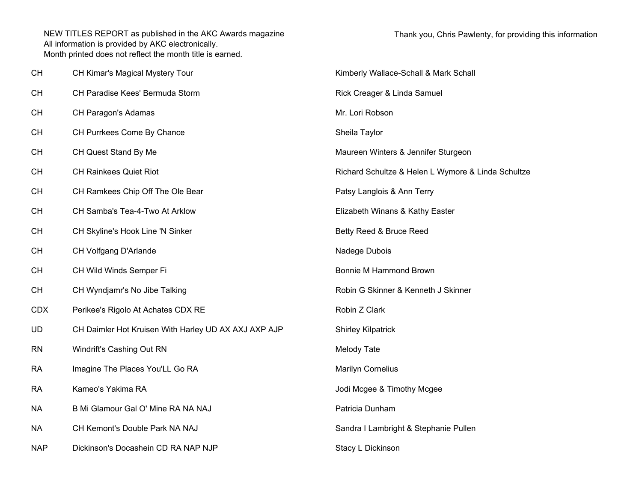| <b>CH</b>  | CH Kimar's Magical Mystery Tour                      | Kimberly Wallace-Schall & Mark Schall              |  |
|------------|------------------------------------------------------|----------------------------------------------------|--|
| <b>CH</b>  | CH Paradise Kees' Bermuda Storm                      | Rick Creager & Linda Samuel                        |  |
| <b>CH</b>  | CH Paragon's Adamas                                  | Mr. Lori Robson                                    |  |
| <b>CH</b>  | CH Purrkees Come By Chance                           | Sheila Taylor                                      |  |
| <b>CH</b>  | CH Quest Stand By Me                                 | Maureen Winters & Jennifer Sturgeon                |  |
| <b>CH</b>  | <b>CH Rainkees Quiet Riot</b>                        | Richard Schultze & Helen L Wymore & Linda Schultze |  |
| <b>CH</b>  | CH Ramkees Chip Off The Ole Bear                     | Patsy Langlois & Ann Terry                         |  |
| <b>CH</b>  | CH Samba's Tea-4-Two At Arklow                       | Elizabeth Winans & Kathy Easter                    |  |
| <b>CH</b>  | CH Skyline's Hook Line 'N Sinker                     | Betty Reed & Bruce Reed                            |  |
| <b>CH</b>  | CH Volfgang D'Arlande                                | Nadege Dubois                                      |  |
| <b>CH</b>  | CH Wild Winds Semper Fi                              | Bonnie M Hammond Brown                             |  |
| <b>CH</b>  | CH Wyndjamr's No Jibe Talking                        | Robin G Skinner & Kenneth J Skinner                |  |
| <b>CDX</b> | Perikee's Rigolo At Achates CDX RE                   | Robin Z Clark                                      |  |
| <b>UD</b>  | CH Daimler Hot Kruisen With Harley UD AX AXJ AXP AJP | <b>Shirley Kilpatrick</b>                          |  |
| <b>RN</b>  | Windrift's Cashing Out RN                            | Melody Tate                                        |  |
| <b>RA</b>  | Imagine The Places You'LL Go RA                      | <b>Marilyn Cornelius</b>                           |  |
| <b>RA</b>  | Kameo's Yakima RA                                    | Jodi Mcgee & Timothy Mcgee                         |  |
| <b>NA</b>  | B Mi Glamour Gal O' Mine RA NA NAJ                   | Patricia Dunham                                    |  |
| <b>NA</b>  | CH Kemont's Double Park NA NAJ                       | Sandra I Lambright & Stephanie Pullen              |  |
| <b>NAP</b> | Dickinson's Docashein CD RA NAP NJP                  | Stacy L Dickinson                                  |  |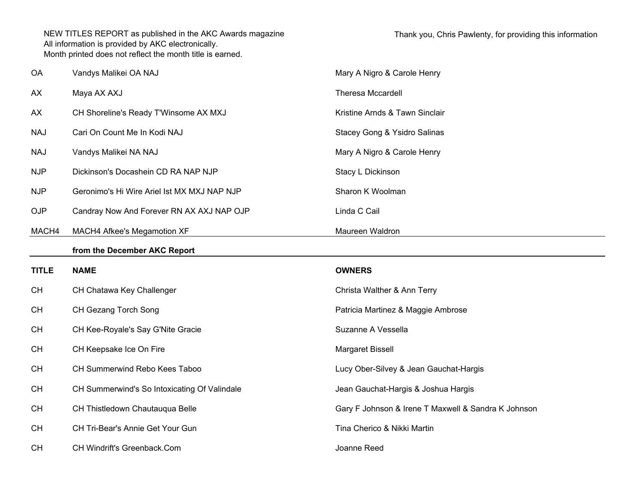| OA           | Vandys Malikei OA NAJ                        | Mary A Nigro & Carole Henry                         |
|--------------|----------------------------------------------|-----------------------------------------------------|
| AX           | Maya AX AXJ                                  | <b>Theresa Mccardell</b>                            |
| AX           | CH Shoreline's Ready T'Winsome AX MXJ        | Kristine Arnds & Tawn Sinclair                      |
| <b>NAJ</b>   | Cari On Count Me In Kodi NAJ                 | Stacey Gong & Ysidro Salinas                        |
| <b>NAJ</b>   | Vandys Malikei NA NAJ                        | Mary A Nigro & Carole Henry                         |
| <b>NJP</b>   | Dickinson's Docashein CD RA NAP NJP          | Stacy L Dickinson                                   |
| <b>NJP</b>   | Geronimo's Hi Wire Ariel Ist MX MXJ NAP NJP  | Sharon K Woolman                                    |
| <b>OJP</b>   | Candray Now And Forever RN AX AXJ NAP OJP    | Linda C Cail                                        |
| MACH4        | MACH4 Afkee's Megamotion XF                  | Maureen Waldron                                     |
|              | from the December AKC Report                 |                                                     |
|              |                                              |                                                     |
| <b>TITLE</b> | <b>NAME</b>                                  | <b>OWNERS</b>                                       |
| <b>CH</b>    | CH Chatawa Key Challenger                    | Christa Walther & Ann Terry                         |
| <b>CH</b>    | CH Gezang Torch Song                         | Patricia Martinez & Maggie Ambrose                  |
| <b>CH</b>    | CH Kee-Royale's Say G'Nite Gracie            | Suzanne A Vessella                                  |
| <b>CH</b>    | CH Keepsake Ice On Fire                      | Margaret Bissell                                    |
| <b>CH</b>    | CH Summerwind Rebo Kees Taboo                | Lucy Ober-Silvey & Jean Gauchat-Hargis              |
| <b>CH</b>    | CH Summerwind's So Intoxicating Of Valindale | Jean Gauchat-Hargis & Joshua Hargis                 |
| <b>CH</b>    | CH Thistledown Chautauqua Belle              | Gary F Johnson & Irene T Maxwell & Sandra K Johnson |
| <b>CH</b>    | CH Tri-Bear's Annie Get Your Gun             | Tina Cherico & Nikki Martin                         |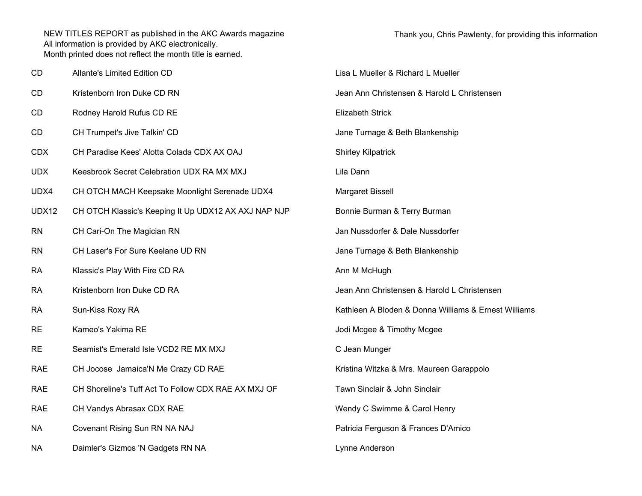| CD           | Allante's Limited Edition CD                         | Lisa L Mueller & Richard L Mueller                   |  |
|--------------|------------------------------------------------------|------------------------------------------------------|--|
| СD           | Kristenborn Iron Duke CD RN                          | Jean Ann Christensen & Harold L Christensen          |  |
| СD           | Rodney Harold Rufus CD RE                            | <b>Elizabeth Strick</b>                              |  |
| CD           | CH Trumpet's Jive Talkin' CD                         | Jane Turnage & Beth Blankenship                      |  |
| CDX          | CH Paradise Kees' Alotta Colada CDX AX OAJ           | <b>Shirley Kilpatrick</b>                            |  |
| UDX          | Keesbrook Secret Celebration UDX RA MX MXJ           | Lila Dann                                            |  |
| UDX4         | CH OTCH MACH Keepsake Moonlight Serenade UDX4        | Margaret Bissell                                     |  |
| <b>UDX12</b> | CH OTCH Klassic's Keeping It Up UDX12 AX AXJ NAP NJP | Bonnie Burman & Terry Burman                         |  |
| RN           | CH Cari-On The Magician RN                           | Jan Nussdorfer & Dale Nussdorfer                     |  |
| RN           | CH Laser's For Sure Keelane UD RN                    | Jane Turnage & Beth Blankenship                      |  |
| RA           | Klassic's Play With Fire CD RA                       | Ann M McHugh                                         |  |
| RA           | Kristenborn Iron Duke CD RA                          | Jean Ann Christensen & Harold L Christensen          |  |
| RA           | Sun-Kiss Roxy RA                                     | Kathleen A Bloden & Donna Williams & Ernest Williams |  |
| <b>RE</b>    | Kameo's Yakima RE                                    | Jodi Mcgee & Timothy Mcgee                           |  |
| RE           | Seamist's Emerald Isle VCD2 RE MX MXJ                | C Jean Munger                                        |  |
| RAE          | CH Jocose Jamaica'N Me Crazy CD RAE                  | Kristina Witzka & Mrs. Maureen Garappolo             |  |
| RAE          | CH Shoreline's Tuff Act To Follow CDX RAE AX MXJ OF  | Tawn Sinclair & John Sinclair                        |  |
| <b>RAE</b>   | CH Vandys Abrasax CDX RAE                            | Wendy C Swimme & Carol Henry                         |  |
| NΑ           | Covenant Rising Sun RN NA NAJ                        | Patricia Ferguson & Frances D'Amico                  |  |
| NΑ           | Daimler's Gizmos 'N Gadgets RN NA                    | Lynne Anderson                                       |  |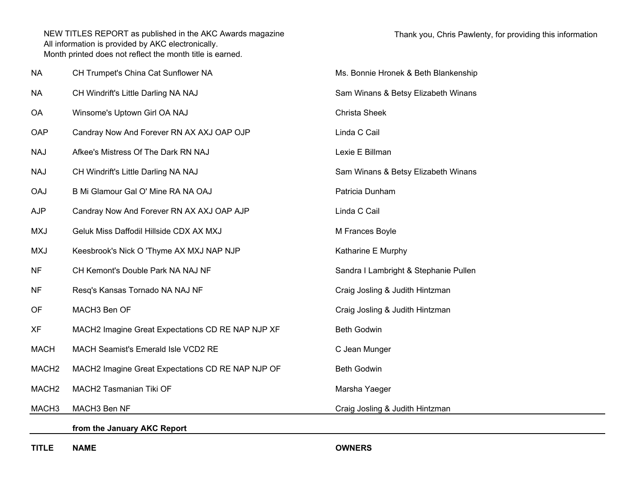| <b>NA</b>         | CH Trumpet's China Cat Sunflower NA               | Ms. Bonnie Hronek & Beth Blankenship  |  |
|-------------------|---------------------------------------------------|---------------------------------------|--|
| <b>NA</b>         | CH Windrift's Little Darling NA NAJ               | Sam Winans & Betsy Elizabeth Winans   |  |
| <b>OA</b>         | Winsome's Uptown Girl OA NAJ                      | Christa Sheek                         |  |
| OAP               | Candray Now And Forever RN AX AXJ OAP OJP         | Linda C Cail                          |  |
| <b>NAJ</b>        | Afkee's Mistress Of The Dark RN NAJ               | Lexie E Billman                       |  |
| <b>NAJ</b>        | CH Windrift's Little Darling NA NAJ               | Sam Winans & Betsy Elizabeth Winans   |  |
| <b>OAJ</b>        | B Mi Glamour Gal O' Mine RA NA OAJ                | Patricia Dunham                       |  |
| <b>AJP</b>        | Candray Now And Forever RN AX AXJ OAP AJP         | Linda C Cail                          |  |
| <b>MXJ</b>        | Geluk Miss Daffodil Hillside CDX AX MXJ           | M Frances Boyle                       |  |
| <b>MXJ</b>        | Keesbrook's Nick O 'Thyme AX MXJ NAP NJP          | Katharine E Murphy                    |  |
| NF                | CH Kemont's Double Park NA NAJ NF                 | Sandra I Lambright & Stephanie Pullen |  |
| <b>NF</b>         | Resq's Kansas Tornado NA NAJ NF                   | Craig Josling & Judith Hintzman       |  |
| OF                | MACH3 Ben OF                                      | Craig Josling & Judith Hintzman       |  |
| <b>XF</b>         | MACH2 Imagine Great Expectations CD RE NAP NJP XF | <b>Beth Godwin</b>                    |  |
| <b>MACH</b>       | MACH Seamist's Emerald Isle VCD2 RE               | C Jean Munger                         |  |
| MACH <sub>2</sub> | MACH2 Imagine Great Expectations CD RE NAP NJP OF | <b>Beth Godwin</b>                    |  |
| MACH <sub>2</sub> | MACH2 Tasmanian Tiki OF                           | Marsha Yaeger                         |  |
| MACH <sub>3</sub> | MACH3 Ben NF                                      | Craig Josling & Judith Hintzman       |  |
|                   | from the January AKC Report                       |                                       |  |
|                   |                                                   |                                       |  |

**TITLE NAME OWNERS**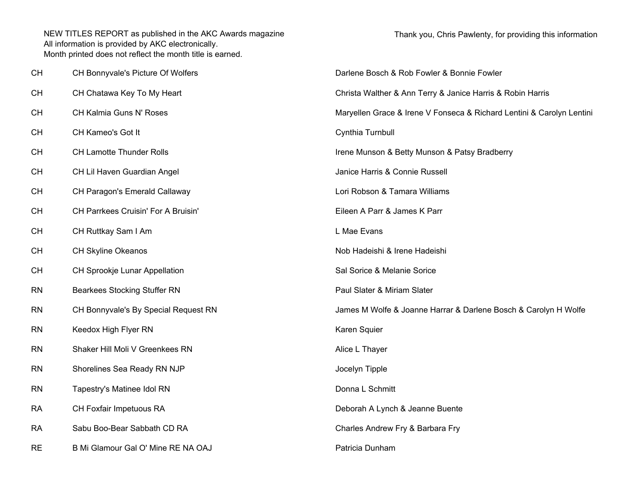| CH        | CH Bonnyvale's Picture Of Wolfers    | Darlene Bosch & Rob Fowler & Bonnie Fowler                            |
|-----------|--------------------------------------|-----------------------------------------------------------------------|
| <b>CH</b> | CH Chatawa Key To My Heart           | Christa Walther & Ann Terry & Janice Harris & Robin Harris            |
| <b>CH</b> | CH Kalmia Guns N' Roses              | Maryellen Grace & Irene V Fonseca & Richard Lentini & Carolyn Lentini |
| CH        | CH Kameo's Got It                    | Cynthia Turnbull                                                      |
| CH        | <b>CH Lamotte Thunder Rolls</b>      | Irene Munson & Betty Munson & Patsy Bradberry                         |
| <b>CH</b> | CH Lil Haven Guardian Angel          | Janice Harris & Connie Russell                                        |
| <b>CH</b> | CH Paragon's Emerald Callaway        | Lori Robson & Tamara Williams                                         |
| CH        | CH Parrkees Cruisin' For A Bruisin'  | Eileen A Parr & James K Parr                                          |
| CH        | CH Ruttkay Sam I Am                  | L Mae Evans                                                           |
| <b>CH</b> | CH Skyline Okeanos                   | Nob Hadeishi & Irene Hadeishi                                         |
| <b>CH</b> | CH Sprookje Lunar Appellation        | Sal Sorice & Melanie Sorice                                           |
| <b>RN</b> | <b>Bearkees Stocking Stuffer RN</b>  | Paul Slater & Miriam Slater                                           |
| <b>RN</b> | CH Bonnyvale's By Special Request RN | James M Wolfe & Joanne Harrar & Darlene Bosch & Carolyn H Wolfe       |
| <b>RN</b> | Keedox High Flyer RN                 | Karen Squier                                                          |
| <b>RN</b> | Shaker Hill Moli V Greenkees RN      | Alice L Thayer                                                        |
| <b>RN</b> | Shorelines Sea Ready RN NJP          | Jocelyn Tipple                                                        |
| <b>RN</b> | Tapestry's Matinee Idol RN           | Donna L Schmitt                                                       |
| RA        | CH Foxfair Impetuous RA              | Deborah A Lynch & Jeanne Buente                                       |
| RA        | Sabu Boo-Bear Sabbath CD RA          | Charles Andrew Fry & Barbara Fry                                      |
| RE        | B Mi Glamour Gal O' Mine RE NA OAJ   | Patricia Dunham                                                       |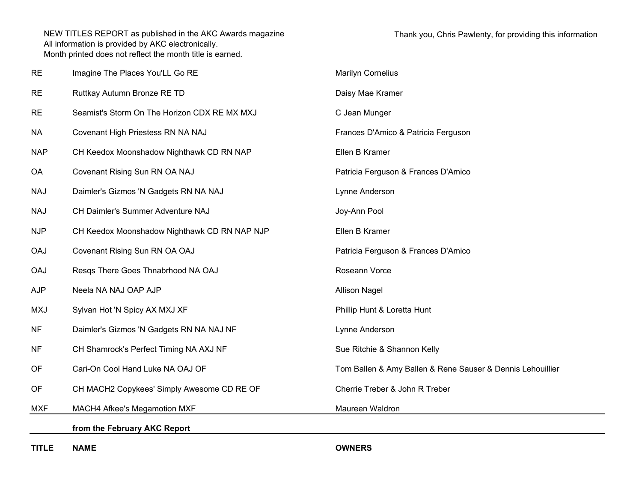| <b>RE</b>  | Imagine The Places You'LL Go RE              | <b>Marilyn Cornelius</b>                                   |
|------------|----------------------------------------------|------------------------------------------------------------|
| <b>RE</b>  | Ruttkay Autumn Bronze RE TD                  | Daisy Mae Kramer                                           |
| <b>RE</b>  | Seamist's Storm On The Horizon CDX RE MX MXJ | C Jean Munger                                              |
| <b>NA</b>  | Covenant High Priestess RN NA NAJ            | Frances D'Amico & Patricia Ferguson                        |
| <b>NAP</b> | CH Keedox Moonshadow Nighthawk CD RN NAP     | Ellen B Kramer                                             |
| <b>OA</b>  | Covenant Rising Sun RN OA NAJ                | Patricia Ferguson & Frances D'Amico                        |
| <b>NAJ</b> | Daimler's Gizmos 'N Gadgets RN NA NAJ        | Lynne Anderson                                             |
| <b>NAJ</b> | CH Daimler's Summer Adventure NAJ            | Joy-Ann Pool                                               |
| <b>NJP</b> | CH Keedox Moonshadow Nighthawk CD RN NAP NJP | Ellen B Kramer                                             |
| <b>OAJ</b> | Covenant Rising Sun RN OA OAJ                | Patricia Ferguson & Frances D'Amico                        |
| <b>OAJ</b> | Resqs There Goes Thnabrhood NA OAJ           | Roseann Vorce                                              |
| <b>AJP</b> | Neela NA NAJ OAP AJP                         | <b>Allison Nagel</b>                                       |
| <b>MXJ</b> | Sylvan Hot 'N Spicy AX MXJ XF                | Phillip Hunt & Loretta Hunt                                |
| <b>NF</b>  | Daimler's Gizmos 'N Gadgets RN NA NAJ NF     | Lynne Anderson                                             |
| <b>NF</b>  | CH Shamrock's Perfect Timing NA AXJ NF       | Sue Ritchie & Shannon Kelly                                |
| OF         | Cari-On Cool Hand Luke NA OAJ OF             | Tom Ballen & Amy Ballen & Rene Sauser & Dennis Lehouillier |
| OF         | CH MACH2 Copykees' Simply Awesome CD RE OF   | Cherrie Treber & John R Treber                             |
| <b>MXF</b> | MACH4 Afkee's Megamotion MXF                 | Maureen Waldron                                            |
|            | from the February AKC Report                 |                                                            |
|            |                                              |                                                            |

**TITLE NAME OWNERS**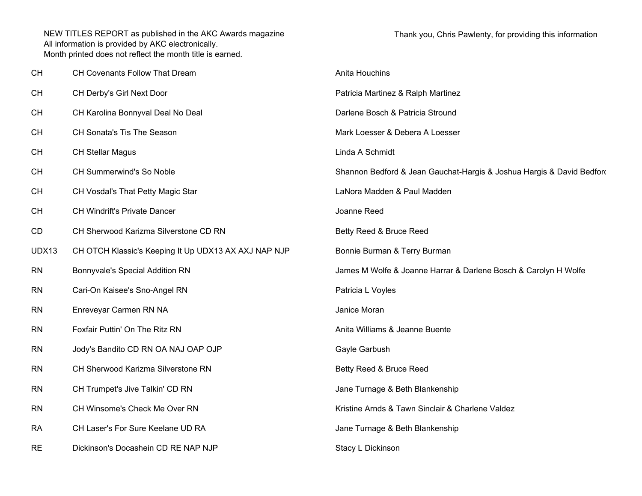| <b>CH</b> | CH Covenants Follow That Dream                       | Anita Houchins                                                        |
|-----------|------------------------------------------------------|-----------------------------------------------------------------------|
| <b>CH</b> | CH Derby's Girl Next Door                            | Patricia Martinez & Ralph Martinez                                    |
| <b>CH</b> | CH Karolina Bonnyval Deal No Deal                    | Darlene Bosch & Patricia Stround                                      |
| <b>CH</b> | CH Sonata's Tis The Season                           | Mark Loesser & Debera A Loesser                                       |
| <b>CH</b> | <b>CH Stellar Magus</b>                              | Linda A Schmidt                                                       |
| <b>CH</b> | CH Summerwind's So Noble                             | Shannon Bedford & Jean Gauchat-Hargis & Joshua Hargis & David Bedford |
| <b>CH</b> | CH Vosdal's That Petty Magic Star                    | LaNora Madden & Paul Madden                                           |
| <b>CH</b> | CH Windrift's Private Dancer                         | Joanne Reed                                                           |
| CD        | CH Sherwood Karizma Silverstone CD RN                | Betty Reed & Bruce Reed                                               |
| UDX13     | CH OTCH Klassic's Keeping It Up UDX13 AX AXJ NAP NJP | Bonnie Burman & Terry Burman                                          |
| <b>RN</b> | Bonnyvale's Special Addition RN                      | James M Wolfe & Joanne Harrar & Darlene Bosch & Carolyn H Wolfe       |
| <b>RN</b> | Cari-On Kaisee's Sno-Angel RN                        | Patricia L Voyles                                                     |
| <b>RN</b> | Enreveyar Carmen RN NA                               | Janice Moran                                                          |
| <b>RN</b> | Foxfair Puttin' On The Ritz RN                       | Anita Williams & Jeanne Buente                                        |
| <b>RN</b> | Jody's Bandito CD RN OA NAJ OAP OJP                  | Gayle Garbush                                                         |
| <b>RN</b> | CH Sherwood Karizma Silverstone RN                   | Betty Reed & Bruce Reed                                               |
| <b>RN</b> | CH Trumpet's Jive Talkin' CD RN                      | Jane Turnage & Beth Blankenship                                       |
| <b>RN</b> | CH Winsome's Check Me Over RN                        | Kristine Arnds & Tawn Sinclair & Charlene Valdez                      |
| <b>RA</b> | CH Laser's For Sure Keelane UD RA                    | Jane Turnage & Beth Blankenship                                       |
| <b>RE</b> | Dickinson's Docashein CD RE NAP NJP                  | Stacy L Dickinson                                                     |